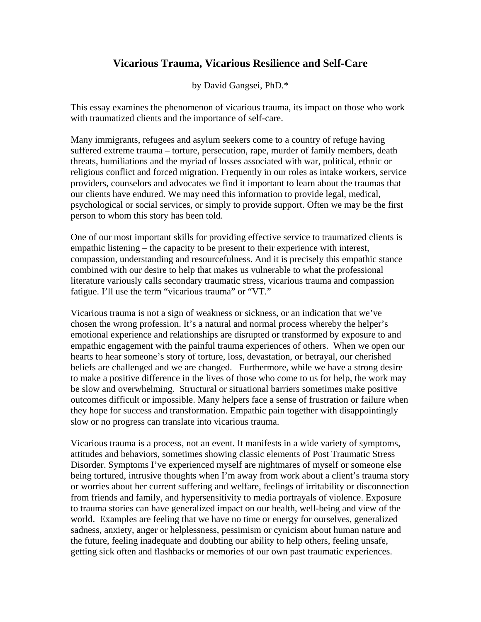## **Vicarious Trauma, Vicarious Resilience and Self-Care**

by David Gangsei, PhD.\*

This essay examines the phenomenon of vicarious trauma, its impact on those who work with traumatized clients and the importance of self-care.

Many immigrants, refugees and asylum seekers come to a country of refuge having suffered extreme trauma – torture, persecution, rape, murder of family members, death threats, humiliations and the myriad of losses associated with war, political, ethnic or religious conflict and forced migration. Frequently in our roles as intake workers, service providers, counselors and advocates we find it important to learn about the traumas that our clients have endured. We may need this information to provide legal, medical, psychological or social services, or simply to provide support. Often we may be the first person to whom this story has been told.

One of our most important skills for providing effective service to traumatized clients is empathic listening – the capacity to be present to their experience with interest, compassion, understanding and resourcefulness. And it is precisely this empathic stance combined with our desire to help that makes us vulnerable to what the professional literature variously calls secondary traumatic stress, vicarious trauma and compassion fatigue. I'll use the term "vicarious trauma" or "VT."

Vicarious trauma is not a sign of weakness or sickness, or an indication that we've chosen the wrong profession. It's a natural and normal process whereby the helper's emotional experience and relationships are disrupted or transformed by exposure to and empathic engagement with the painful trauma experiences of others. When we open our hearts to hear someone's story of torture, loss, devastation, or betrayal, our cherished beliefs are challenged and we are changed. Furthermore, while we have a strong desire to make a positive difference in the lives of those who come to us for help, the work may be slow and overwhelming. Structural or situational barriers sometimes make positive outcomes difficult or impossible. Many helpers face a sense of frustration or failure when they hope for success and transformation. Empathic pain together with disappointingly slow or no progress can translate into vicarious trauma.

Vicarious trauma is a process, not an event. It manifests in a wide variety of symptoms, attitudes and behaviors, sometimes showing classic elements of Post Traumatic Stress Disorder. Symptoms I've experienced myself are nightmares of myself or someone else being tortured, intrusive thoughts when I'm away from work about a client's trauma story or worries about her current suffering and welfare, feelings of irritability or disconnection from friends and family, and hypersensitivity to media portrayals of violence. Exposure to trauma stories can have generalized impact on our health, well-being and view of the world. Examples are feeling that we have no time or energy for ourselves, generalized sadness, anxiety, anger or helplessness, pessimism or cynicism about human nature and the future, feeling inadequate and doubting our ability to help others, feeling unsafe, getting sick often and flashbacks or memories of our own past traumatic experiences.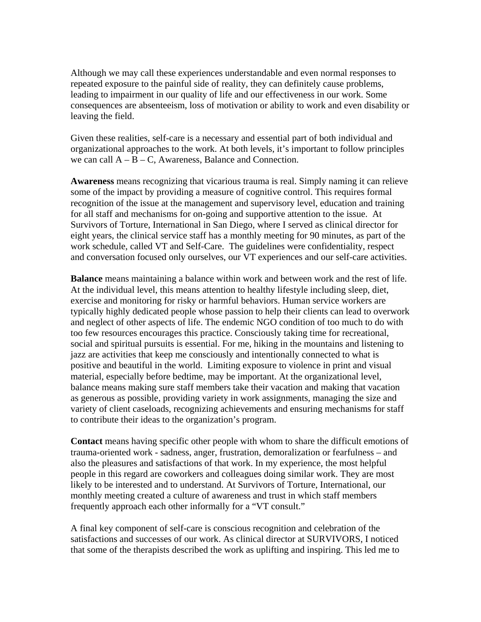Although we may call these experiences understandable and even normal responses to repeated exposure to the painful side of reality, they can definitely cause problems, leading to impairment in our quality of life and our effectiveness in our work. Some consequences are absenteeism, loss of motivation or ability to work and even disability or leaving the field.

Given these realities, self-care is a necessary and essential part of both individual and organizational approaches to the work. At both levels, it's important to follow principles we can call  $A - B - C$ , Awareness, Balance and Connection.

**Awareness** means recognizing that vicarious trauma is real. Simply naming it can relieve some of the impact by providing a measure of cognitive control. This requires formal recognition of the issue at the management and supervisory level, education and training for all staff and mechanisms for on-going and supportive attention to the issue. At Survivors of Torture, International in San Diego, where I served as clinical director for eight years, the clinical service staff has a monthly meeting for 90 minutes, as part of the work schedule, called VT and Self-Care. The guidelines were confidentiality, respect and conversation focused only ourselves, our VT experiences and our self-care activities.

**Balance** means maintaining a balance within work and between work and the rest of life. At the individual level, this means attention to healthy lifestyle including sleep, diet, exercise and monitoring for risky or harmful behaviors. Human service workers are typically highly dedicated people whose passion to help their clients can lead to overwork and neglect of other aspects of life. The endemic NGO condition of too much to do with too few resources encourages this practice. Consciously taking time for recreational, social and spiritual pursuits is essential. For me, hiking in the mountains and listening to jazz are activities that keep me consciously and intentionally connected to what is positive and beautiful in the world. Limiting exposure to violence in print and visual material, especially before bedtime, may be important. At the organizational level, balance means making sure staff members take their vacation and making that vacation as generous as possible, providing variety in work assignments, managing the size and variety of client caseloads, recognizing achievements and ensuring mechanisms for staff to contribute their ideas to the organization's program.

**Contact** means having specific other people with whom to share the difficult emotions of trauma-oriented work - sadness, anger, frustration, demoralization or fearfulness – and also the pleasures and satisfactions of that work. In my experience, the most helpful people in this regard are coworkers and colleagues doing similar work. They are most likely to be interested and to understand. At Survivors of Torture, International, our monthly meeting created a culture of awareness and trust in which staff members frequently approach each other informally for a "VT consult."

A final key component of self-care is conscious recognition and celebration of the satisfactions and successes of our work. As clinical director at SURVIVORS, I noticed that some of the therapists described the work as uplifting and inspiring. This led me to